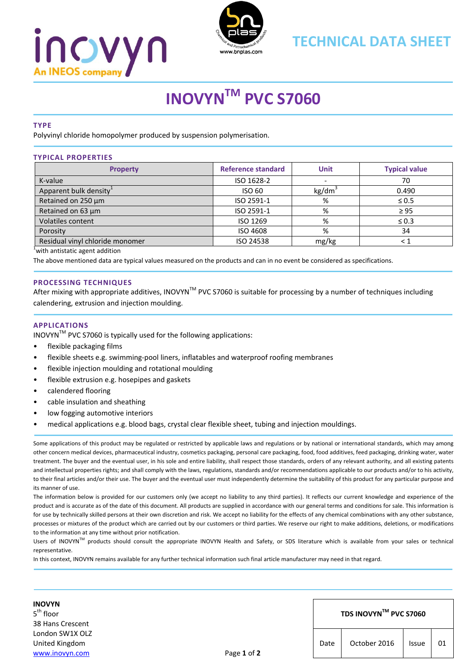# <u>INOVYN</u> An INEOS compan



### **TECHNICAL DATA SHEET**

## **INOVYNTM PVC S7060**

#### **TYPE**

Polyvinyl chloride homopolymer produced by suspension polymerisation.

#### **TYPICAL PROPERTIES Property Reference standard Unit Typical value** K‐value ISO 1628‐2 ‐ 70 Apparent bulk density<sup>1</sup>  $\qquad \qquad$  ISO 60 kg/dm<sup>3</sup> kg/dm<sup>3</sup> 0.490 Retained on 250 µm  $\vert$  ISO 2591-1 %  $\vert$   $\vert$   $\sim$  50.5 Retained on 63 µm  $\vert$  ISO 2591-1 %  $\vert$  ≥ 95 Volatiles content  $\leq 0.3$  Solution  $\leq 0.3$ Porosity ISO 4608 34 Residual vinyl chloride monomer ISO 24538 mg/kg < 1

1 with antistatic agent addition

The above mentioned data are typical values measured on the products and can in no event be considered as specifications.

#### **PROCESSING TECHNIQUES**

After mixing with appropriate additives, INOVYN<sup>TM</sup> PVC S7060 is suitable for processing by a number of techniques including calendering, extrusion and injection moulding.

#### **APPLICATIONS**

INOVYNTM PVC S7060 is typically used for the following applications:

- flexible packaging films
- flexible sheets e.g. swimming-pool liners, inflatables and waterproof roofing membranes
- flexible injection moulding and rotational moulding
- flexible extrusion e.g. hosepipes and gaskets
- calendered flooring
- cable insulation and sheathing
- low fogging automotive interiors
- medical applications e.g. blood bags, crystal clear flexible sheet, tubing and injection mouldings.

Some applications of this product may be regulated or restricted by applicable laws and regulations or by national or international standards, which may among other concern medical devices, pharmaceutical industry, cosmetics packaging, personal care packaging, food, food additives, feed packaging, drinking water, water treatment. The buyer and the eventual user, in his sole and entire liability, shall respect those standards, orders of any relevant authority, and all existing patents and intellectual properties rights; and shall comply with the laws, regulations, standards and/or recommendations applicable to our products and/or to his activity, to their final articles and/or their use. The buyer and the eventual user must independently determine the suitability of this product for any particular purpose and its manner of use.

The information below is provided for our customers only (we accept no liability to any third parties). It reflects our current knowledge and experience of the product and is accurate as of the date of this document. All products are supplied in accordance with our general terms and conditions for sale. This information is for use by technically skilled persons at their own discretion and risk. We accept no liability for the effects of any chemical combinations with any other substance, processes or mixtures of the product which are carried out by our customers or third parties. We reserve our right to make additions, deletions, or modifications to the information at any time without prior notification.

Users of INOVYN™ products should consult the appropriate INOVYN Health and Safety, or SDS literature which is available from your sales or technical representative.

In this context, INOVYN remains available for any further technical information such final article manufacturer may need in that regard.

**INOVYN**  $5<sup>th</sup>$  floor 38 Hans Crescent London SW1X OLZ United Kingdom www.inovyn.com Page **1** of **2**

#### **TDS INOVYNTM PVC S7060**